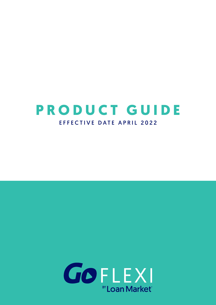# **PRODUCT GUIDE** EFFECTIVE DATE APRIL 2022

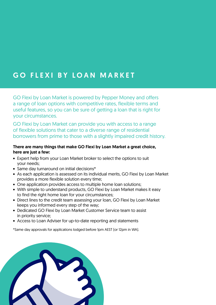## GO FLEXI BY LOAN MARKET

GO Flexi by Loan Market is powered by Pepper Money and offers a range of loan options with competitive rates, flexible terms and useful features, so you can be sure of getting a loan that is right for your circumstances.

GO Flexi by Loan Market can provide you with access to a range of flexible solutions that cater to a diverse range of residential borrowers from prime to those with a slightly impaired credit history.

## There are many things that make GO Flexi by Loan Market a great choice, here are just a few:

- Expert help from your Loan Market broker to select the options to suit your needs;
- Same day turnaround on initial decisions\*
- As each application is assessed on its individual merits, GO Flexi by Loan Market provides a more flexible solution every time;
- One application provides access to multiple home loan solutions;
- With simple to understand products, GO Flexi by Loan Market makes it easy to find the right home loan for your circumstances;
- Direct lines to the credit team assessing your loan, GO Flexi by Loan Market keeps you informed every step of the way;
- Dedicated GO Flexi by Loan Market Customer Service team to assist in priority service;
- Access to Loan Adviser for up-to-date reporting and statements

\*Same day approvals for applications lodged before 1pm AEST (or 12pm in WA).

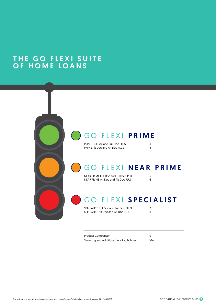## THE GO FLEXI SUITE OF HOME LOANS



PRIME Full Doc and Full Doc PLUS<br>
PRIME Alt Doc and Alt Doc PLUS 4 PRIME Alt Doc and Alt Doc PLUS

# GO FLEXI NEAR PRIME

NEAR PRIME Full Doc and Full Doc PLUS 5<br>NEAR PRIME Alt Doc and Alt Doc PLUS 6 NEAR PRIME Alt Doc and Alt Doc PLUS 6

# GO FLEXI SPECIALIST

SPECIALIST Full Doc and Full Doc PLUS 7<br>SPECIALIST Alt Doc and Alt Doc PLUS 8 SPECIALIST Alt Doc and Alt Doc PLUS

Product Comparison 9 Servicing and Additional Lending Policies 10–11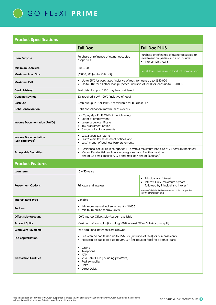|                                                | <b>Full Doc</b>                                                                                                                                                                                                                                     | <b>Full Doc PLUS</b>                                                                                          |  |  |  |
|------------------------------------------------|-----------------------------------------------------------------------------------------------------------------------------------------------------------------------------------------------------------------------------------------------------|---------------------------------------------------------------------------------------------------------------|--|--|--|
| <b>Loan Purpose</b>                            | Purchase or refinance of owner occupied<br>properties                                                                                                                                                                                               | Purchase or refinance of owner occupied or<br>investment properties and also includes:<br>Interest Only Ioans |  |  |  |
| <b>Minimum Loan Size</b>                       | \$100,000                                                                                                                                                                                                                                           |                                                                                                               |  |  |  |
| <b>Maximum Loan Size</b>                       | \$2,000,000 (up to 70% LVR)                                                                                                                                                                                                                         | For all loan sizes refer to Product Comparison                                                                |  |  |  |
| <b>Maximum LVR</b>                             | Up to 95% for purchases (inclusive of fees) for loans up to \$650,000<br>$\bullet$<br>Up to 90% for all other loan purposes (inclusive of fees) for loans up to \$750,000<br>$\bullet$                                                              |                                                                                                               |  |  |  |
| <b>Credit History</b>                          | Paid defaults up to \$500 may be considered                                                                                                                                                                                                         |                                                                                                               |  |  |  |
| <b>Genuine Savings</b>                         | 5% required if LVR >90% [inclusive of fees]                                                                                                                                                                                                         |                                                                                                               |  |  |  |
| <b>Cash Out</b>                                | Cash out up to 90% LVR^. Not available for business use                                                                                                                                                                                             |                                                                                                               |  |  |  |
| <b>Debt Consolidation</b>                      | Debt consolidation (maximum of 4 debts)                                                                                                                                                                                                             |                                                                                                               |  |  |  |
| <b>Income Documentation (PAYG)</b>             | Last 2 pay slips PLUS ONE of the following:<br>Letter of employment<br>$\bullet$<br>Latest group certificate<br>$\bullet$<br>Tax assessment notice<br>3 months bank statements                                                                      |                                                                                                               |  |  |  |
| <b>Income Documentation</b><br>[Self Employed] | Last 2 years tax returns<br>$\bullet$<br>Last 2 years tax assessment notices; and<br>$\bullet$<br>Last 1 month of business bank statements<br>$\bullet$                                                                                             |                                                                                                               |  |  |  |
| <b>Acceptable Securities</b>                   | Residential securities in categories $1 - 4$ with a maximum land size of 25 acres [10 hectares]<br>$\bullet$<br>Vacant Residential Land only in categories 1 and 2 with a maximum<br>size of 2.5 acres (max 65% LVR and max loan size of \$650,000) |                                                                                                               |  |  |  |
| <b>Product Features</b>                        |                                                                                                                                                                                                                                                     |                                                                                                               |  |  |  |
| Loan term                                      | $10 - 30$ years                                                                                                                                                                                                                                     |                                                                                                               |  |  |  |
|                                                |                                                                                                                                                                                                                                                     | Principal and Interest<br>$\bullet$                                                                           |  |  |  |

| <b>Repayment Options</b>      | Principal and Interest                                                                                                                                                                      | Principal and Interest<br>$\bullet$<br>Interest Only [maximum 5 years<br>followed by Principal and Interest]<br>Interest Only is limited on owner occupied properties<br>to 50% of total loan limit |  |  |  |
|-------------------------------|---------------------------------------------------------------------------------------------------------------------------------------------------------------------------------------------|-----------------------------------------------------------------------------------------------------------------------------------------------------------------------------------------------------|--|--|--|
| <b>Interest Rate Type</b>     | Variable                                                                                                                                                                                    |                                                                                                                                                                                                     |  |  |  |
| Redraw                        | Minimum manual redraw amount is \$1,000<br>Minimum online redraw is \$50                                                                                                                    |                                                                                                                                                                                                     |  |  |  |
| <b>Offset Sub-Account</b>     | 100% Interest Offset Sub-Account available                                                                                                                                                  |                                                                                                                                                                                                     |  |  |  |
| <b>Account Splits</b>         | Maximum of four splits (including 100% Interest Offset Sub-Account split)                                                                                                                   |                                                                                                                                                                                                     |  |  |  |
| <b>Lump Sum Payments</b>      | Free additional payments are allowed                                                                                                                                                        |                                                                                                                                                                                                     |  |  |  |
| <b>Fee Capitalisation</b>     | Fees can be capitalised up to 95% LVR (inclusive of fees) for purchases only<br>٠<br>Fees can be capitalised up to 90% LVR (inclusive of fees) for all other loans<br>$\bullet$             |                                                                                                                                                                                                     |  |  |  |
| <b>Transaction Facilities</b> | Online<br>$\bullet$<br>Telephone<br><b>ATM</b><br>$\bullet$<br>Visa Debit Card (including pay Wave)<br>$\bullet$<br>Redraw facility<br>٠<br><b>BPAY</b><br>$\bullet$<br><b>Direct Debit</b> |                                                                                                                                                                                                     |  |  |  |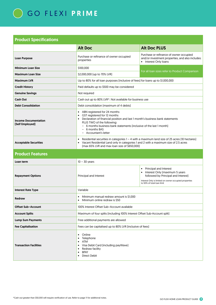|                                                | <b>Alt Doc</b>                                                                                                                                                                                                                                                                                                  | <b>Alt Doc PLUS</b>                                                                                                                                                                                        |  |  |  |
|------------------------------------------------|-----------------------------------------------------------------------------------------------------------------------------------------------------------------------------------------------------------------------------------------------------------------------------------------------------------------|------------------------------------------------------------------------------------------------------------------------------------------------------------------------------------------------------------|--|--|--|
| <b>Loan Purpose</b>                            | Purchase or refinance of owner occupied<br>properties                                                                                                                                                                                                                                                           | Purchase or refinance of owner occupied<br>and/or investment properties, and also includes:<br>• Interest Only loans                                                                                       |  |  |  |
| <b>Minimum Loan Size</b>                       | \$100,000                                                                                                                                                                                                                                                                                                       |                                                                                                                                                                                                            |  |  |  |
| <b>Maximum Loan Size</b>                       | \$2,000,000 (up to 70% LVR)                                                                                                                                                                                                                                                                                     | For all loan sizes refer to Product Comparison                                                                                                                                                             |  |  |  |
| <b>Maximum LVR</b>                             | Up to 80% for all loan purposes (inclusive of fees) for loans up to \$1,000,000                                                                                                                                                                                                                                 |                                                                                                                                                                                                            |  |  |  |
| <b>Credit History</b>                          | Paid defaults up to \$500 may be considered                                                                                                                                                                                                                                                                     |                                                                                                                                                                                                            |  |  |  |
| <b>Genuine Savings</b>                         | Not required                                                                                                                                                                                                                                                                                                    |                                                                                                                                                                                                            |  |  |  |
| <b>Cash Out</b>                                | Cash out up to 80% LVR^. Not available for business use                                                                                                                                                                                                                                                         |                                                                                                                                                                                                            |  |  |  |
| <b>Debt Consolidation</b>                      | Debt consolidation [maximum of 4 debts]                                                                                                                                                                                                                                                                         |                                                                                                                                                                                                            |  |  |  |
| <b>Income Documentation</b><br>[Self Employed] | • ABN registered for 24 months<br>GST registered for 12 months<br>$\bullet$<br>• Declaration of financial position and last 1 month's business bank statements<br>PLUS TWO of the following:<br>- 6 months business bank statements (inclusive of the last 1 month)<br>$-6$ months BAS<br>- Accountant's letter |                                                                                                                                                                                                            |  |  |  |
| <b>Acceptable Securities</b>                   | Residential securities in categories $1 - 4$ with a maximum land size of 25 acres [10 hectares]<br>$\bullet$<br>Vacant Residential Land only in categories 1 and 2 with a maximum size of 2.5 acres<br>[max 65% LVR and max loan size of \$650,000]                                                             |                                                                                                                                                                                                            |  |  |  |
| <b>Product Features</b>                        |                                                                                                                                                                                                                                                                                                                 |                                                                                                                                                                                                            |  |  |  |
| Loan term                                      | $10 - 30$ years                                                                                                                                                                                                                                                                                                 |                                                                                                                                                                                                            |  |  |  |
| <b>Repayment Options</b>                       | Principal and Interest                                                                                                                                                                                                                                                                                          | <b>Principal and Interest</b><br>$\bullet$<br>Interest Only (maximum 5 years<br>followed by Principal and Interest]<br>Interest Only is limited on owner occupied properties<br>to 50% of total loan limit |  |  |  |
| <b>Interest Rate Type</b>                      | Variable                                                                                                                                                                                                                                                                                                        |                                                                                                                                                                                                            |  |  |  |
| <b>Redraw</b>                                  | Minimum manual redraw amount is \$1,000<br>Minimum online redraw is \$50<br>$\bullet$                                                                                                                                                                                                                           |                                                                                                                                                                                                            |  |  |  |
| <b>Offset Sub-Account</b>                      | 100% Interest Offset Sub-Account available                                                                                                                                                                                                                                                                      |                                                                                                                                                                                                            |  |  |  |
| <b>Account Splits</b>                          | Maximum of four splits (including 100% Interest Offset Sub-Account split)                                                                                                                                                                                                                                       |                                                                                                                                                                                                            |  |  |  |
| <b>Lump Sum Payments</b>                       | Free additional payments are allowed                                                                                                                                                                                                                                                                            |                                                                                                                                                                                                            |  |  |  |
| <b>Fee Capitalisation</b>                      | Fees can be capitalised up to 80% LVR (inclusive of fees)                                                                                                                                                                                                                                                       |                                                                                                                                                                                                            |  |  |  |
| <b>Transaction Facilities</b>                  | Online<br>$\bullet$<br>Telephone<br><b>ATM</b><br>Visa Debit Card (including payWave)<br>Redraw facility<br><b>BPAY</b><br><b>Direct Debit</b><br>$\bullet$                                                                                                                                                     |                                                                                                                                                                                                            |  |  |  |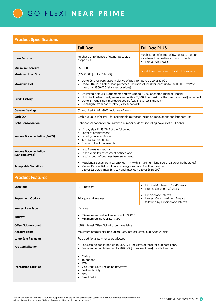|                                                | <b>Full Doc</b>                                                                                                                                                                                                                                       | <b>Full Doc PLUS</b>                                                                                            |  |  |  |
|------------------------------------------------|-------------------------------------------------------------------------------------------------------------------------------------------------------------------------------------------------------------------------------------------------------|-----------------------------------------------------------------------------------------------------------------|--|--|--|
| Loan Purpose                                   | Purchase or refinance of owner occupied<br>properties                                                                                                                                                                                                 | Purchase or refinance of owner occupied or<br>investment properties and also includes:<br>• Interest Only Ioans |  |  |  |
| <b>Minimum Loan Size</b>                       | \$50,000                                                                                                                                                                                                                                              |                                                                                                                 |  |  |  |
| <b>Maximum Loan Size</b>                       | \$2,500,000 (up to 65% LVR)                                                                                                                                                                                                                           | For all loan sizes refer to Product Comparison                                                                  |  |  |  |
| <b>Maximum LVR</b>                             | Up to 95% for purchases (inclusive of fees) for loans up to \$650,000<br>Up to 90% for all other loan purposes (inclusive of fees) for loans up to \$850,000 (Syd/Mel<br>metro) or \$800,000 [all other locations]                                    |                                                                                                                 |  |  |  |
| <b>Credit History</b>                          | Unlimited defaults, judgements and writs up to \$1,000 accepted (paid or unpaid)<br>$\bullet$<br>Up to 3 months non-mortgage arrears (within the last 3 months) <sup>#</sup><br>$\bullet$<br>Discharged from bankruptcy [1 day accepted]<br>$\bullet$ | Unlimited defaults, judgements and writs > \$1,000, listed >24 months (paid or unpaid) accepted                 |  |  |  |
| <b>Genuine Savings</b>                         | 5% required if LVR >90% (inclusive of fees)                                                                                                                                                                                                           |                                                                                                                 |  |  |  |
| <b>Cash Out</b>                                | Cash out up to 90% LVR^ for acceptable purposes including renovations and business use                                                                                                                                                                |                                                                                                                 |  |  |  |
| <b>Debt Consolidation</b>                      | Debt consolidation for an unlimited number of debts including payout of ATO debts                                                                                                                                                                     |                                                                                                                 |  |  |  |
| Income Documentation (PAYG)                    | Last 2 pay slips PLUS ONE of the following:<br>• Letter of employment<br>Latest group certificate<br>Tax assessment notice<br>3 months bank statements<br>$\bullet$                                                                                   |                                                                                                                 |  |  |  |
| <b>Income Documentation</b><br>[Self Employed] | Last 2 years tax returns<br>$\bullet$<br>Last 2 years tax assessment notices; and<br>• Last 1 month of business bank statements                                                                                                                       |                                                                                                                 |  |  |  |
| <b>Acceptable Securities</b>                   | Residential securities in categories 1 - 4 with a maximum land size of 25 acres (10 hectares)<br>$\bullet$<br>• Vacant Residential Land only in categories 1 and 2 with a maximum<br>size of 2.5 acres (max 65% LVR and max loan size of \$650,000)   |                                                                                                                 |  |  |  |
| <b>Product Features</b>                        |                                                                                                                                                                                                                                                       |                                                                                                                 |  |  |  |
| Loan term                                      | $10 - 40$ years                                                                                                                                                                                                                                       | Principal & Interest: 10 - 40 years<br>• Interest Only: $10 - 30$ years                                         |  |  |  |
| <b>Repayment Options</b>                       | Principal and Interest                                                                                                                                                                                                                                | Principal and Interest<br>Interest Only (maximum 5 years<br>followed by Principal and Interest]                 |  |  |  |
| <b>Interest Rate Type</b>                      | Variable                                                                                                                                                                                                                                              |                                                                                                                 |  |  |  |
| Redraw                                         | Minimum manual redraw amount is \$1,000<br>$\bullet$<br>Minimum online redraw is \$50                                                                                                                                                                 |                                                                                                                 |  |  |  |
| <b>Offset Sub-Account</b>                      | 100% Interest Offset Sub-Account available                                                                                                                                                                                                            |                                                                                                                 |  |  |  |
| <b>Account Splits</b>                          | Maximum of four splits (including 100% Interest Offset Sub-Account split)                                                                                                                                                                             |                                                                                                                 |  |  |  |
| <b>Lump Sum Payments</b>                       | Free additional payments are allowed                                                                                                                                                                                                                  |                                                                                                                 |  |  |  |
| <b>Fee Capitalisation</b>                      | Fees can be capitalised up to 95% LVR (inclusive of fees) for purchases only<br>Fees can be capitalised up to 90% LVR (inclusive of fees) for all other loans<br>$\bullet$                                                                            |                                                                                                                 |  |  |  |
| <b>Transaction Facilities</b>                  | Online<br>$\bullet$<br>Telephone<br>ATM<br>$\bullet$<br>Visa Debit Card (including payWave)<br>Redraw facility<br><b>BPAY</b><br><b>Direct Debit</b>                                                                                                  |                                                                                                                 |  |  |  |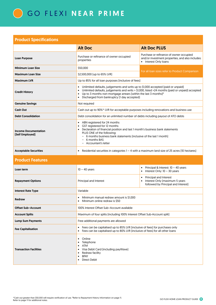|                                                | <b>Alt Doc</b>                                                                                                                                                                                                                                                                                                                              | <b>Alt Doc PLUS</b>                                                                                                             |  |  |
|------------------------------------------------|---------------------------------------------------------------------------------------------------------------------------------------------------------------------------------------------------------------------------------------------------------------------------------------------------------------------------------------------|---------------------------------------------------------------------------------------------------------------------------------|--|--|
| <b>Loan Purpose</b>                            | Purchase or refinance of owner occupied<br>properties                                                                                                                                                                                                                                                                                       | Purchase or refinance of owner occupied<br>and/or investment properties, and also includes:<br>Interest Only loans<br>$\bullet$ |  |  |
| <b>Minimum Loan Size</b>                       | \$50,000                                                                                                                                                                                                                                                                                                                                    |                                                                                                                                 |  |  |
| <b>Maximum Loan Size</b>                       | \$2,500,000 (up to 65% LVR)                                                                                                                                                                                                                                                                                                                 | For all loan sizes refer to Product Comparison                                                                                  |  |  |
| <b>Maximum LVR</b>                             | Up to 85% for all loan purposes (inclusive of fees)                                                                                                                                                                                                                                                                                         |                                                                                                                                 |  |  |
| <b>Credit History</b>                          | Unlimited defaults, judgements and writs up to \$1,000 accepted (paid or unpaid)<br>$\bullet$<br>Unlimited defaults, judgements and writs > \$1,000, listed >24 months (paid or unpaid) accepted<br>Up to 3 months non-mortgage arrears (within the last 3 months) <sup>#</sup><br>Discharged from bankruptcy [1 day accepted]<br>$\bullet$ |                                                                                                                                 |  |  |
| <b>Genuine Savings</b>                         | Not required                                                                                                                                                                                                                                                                                                                                |                                                                                                                                 |  |  |
| <b>Cash Out</b>                                | Cash out up to 90% <sup>^</sup> LVR for acceptable purposes including renovations and business use                                                                                                                                                                                                                                          |                                                                                                                                 |  |  |
| <b>Debt Consolidation</b>                      | Debt consolidation for an unlimited number of debts including payout of ATO debts                                                                                                                                                                                                                                                           |                                                                                                                                 |  |  |
| <b>Income Documentation</b><br>(Self Employed) | ABN registered for 24 months<br>$\bullet$<br>GST registered for 12 months<br>Declaration of financial position and last 1 month's business bank statements<br>$\bullet$<br>PLUS ONE of the following:<br>6 months business bank statements (inclusive of the last 1 month)<br>6 months BAS<br>Accountant's letter                           |                                                                                                                                 |  |  |
| <b>Acceptable Securities</b>                   | Residential securities in categories $1 - 4$ with a maximum land size of 25 acres (10 hectares)                                                                                                                                                                                                                                             |                                                                                                                                 |  |  |

### Product Features

| Loan term                     | Principal & Interest: $10 - 40$ years<br>$10 - 40$ years<br>Interest Only: $10 - 30$ years                                                                                 |                                                                                                              |  |  |  |
|-------------------------------|----------------------------------------------------------------------------------------------------------------------------------------------------------------------------|--------------------------------------------------------------------------------------------------------------|--|--|--|
| <b>Repayment Options</b>      | Principal and Interest                                                                                                                                                     | Principal and Interest<br>$\bullet$<br>Interest Only [maximum 5 years<br>followed by Principal and Interest) |  |  |  |
| <b>Interest Rate Type</b>     | Variable                                                                                                                                                                   |                                                                                                              |  |  |  |
| Redraw                        | Minimum manual redraw amount is \$1.000<br>$\bullet$<br>Minimum online redraw is \$50                                                                                      |                                                                                                              |  |  |  |
| <b>Offset Sub-Account</b>     | 100% Interest Offset Sub-Account available                                                                                                                                 |                                                                                                              |  |  |  |
| <b>Account Splits</b>         | Maximum of four splits (including 100% Interest Offset Sub-Account split)                                                                                                  |                                                                                                              |  |  |  |
| <b>Lump Sum Payments</b>      | Free additional payments are allowed                                                                                                                                       |                                                                                                              |  |  |  |
| <b>Fee Capitalisation</b>     | Fees can be capitalised up to 85% LVR (inclusive of fees) for purchases only<br>$\bullet$<br>Fees can be capitalised up to 80% LVR (inclusive of fees) for all other loans |                                                                                                              |  |  |  |
| <b>Transaction Facilities</b> | Online<br>Telephone<br>٠<br><b>ATM</b><br>$\bullet$<br>Visa Debit Card (including payWave)<br>Redraw facility<br>٠<br><b>BPAY</b><br>$\bullet$<br>Direct Debit             |                                                                                                              |  |  |  |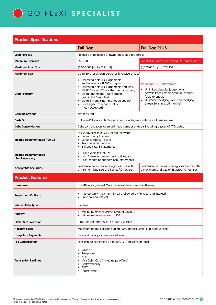

|                                                | <b>Full Doc</b>                                                                                                                                                                                                                                                                                                          | <b>Full Doc PLUS</b>                                                                                                                                                                                           |  |  |
|------------------------------------------------|--------------------------------------------------------------------------------------------------------------------------------------------------------------------------------------------------------------------------------------------------------------------------------------------------------------------------|----------------------------------------------------------------------------------------------------------------------------------------------------------------------------------------------------------------|--|--|
| <b>Loan Purpose</b>                            | Purchase or refinance of owner occupied properties                                                                                                                                                                                                                                                                       |                                                                                                                                                                                                                |  |  |
| <b>Minimum Loan Size</b>                       | \$50,000                                                                                                                                                                                                                                                                                                                 | For all loan sizes refer to Product Comparison                                                                                                                                                                 |  |  |
| <b>Maximum Loan Size</b>                       | \$2,500,000 (up to 65% LVR)                                                                                                                                                                                                                                                                                              | \$1,000,000 (up to 70% LVR)                                                                                                                                                                                    |  |  |
| <b>Maximum LVR</b>                             | Up to 80% for all loan purposes (inclusive of fees)                                                                                                                                                                                                                                                                      |                                                                                                                                                                                                                |  |  |
| <b>Credit History</b>                          | Unlimited defaults, judgements<br>and writs up to \$1,000 accepted<br>• Unlimited defaults, judgements and writs<br>>\$1,000, listed >12 months (paid or unpaid)<br>• Up to 1 month mortgage arrears<br>(within last 6 months)<br>Up to 6 months non-mortgage arrears#<br>Discharged from bankruptcy<br>[1 day accepted] | <b>Additional PLUS allowances:</b><br>Unlimited defaults, judgements<br>or writs from 1 credit event <12 months<br>(paid or unpaid)<br>• Unlimited mortgage and non-mortgage<br>arrears (within last 6 months) |  |  |
| <b>Genuine Savings</b>                         | Not required                                                                                                                                                                                                                                                                                                             |                                                                                                                                                                                                                |  |  |
| <b>Cash Out</b>                                | Unlimited <sup>^</sup> for acceptable purposes including renovations and business use                                                                                                                                                                                                                                    |                                                                                                                                                                                                                |  |  |
| <b>Debt Consolidation</b>                      | Debt consolidation for an unlimited number of debts including payout of ATO debts                                                                                                                                                                                                                                        |                                                                                                                                                                                                                |  |  |
| <b>Income Documentation (PAYG)</b>             | Last 2 pay slips PLUS ONE of the following:<br>• Letter of employment<br>Latest group certificate<br>Tax assessment notice<br>3 months bank statements                                                                                                                                                                   |                                                                                                                                                                                                                |  |  |
| <b>Income Documentation</b><br>[Self Employed] | Last 2 years tax returns<br>Last 2 years tax assessment notices; and<br>Last 1 month of business bank statements                                                                                                                                                                                                         |                                                                                                                                                                                                                |  |  |
| <b>Acceptable Securities</b>                   | Residential securities in categories $1 - 4$ with<br>a maximum land size of 25 acres [10 hectares]                                                                                                                                                                                                                       | Residential securities in categories 1 and 2 with<br>a maximum land size of 25 acres (10 hectares)                                                                                                             |  |  |
| <b>Product Features</b>                        |                                                                                                                                                                                                                                                                                                                          |                                                                                                                                                                                                                |  |  |
| Loan term                                      | 10 - 40 years (Interest Only not available for terms > 30 years)                                                                                                                                                                                                                                                         |                                                                                                                                                                                                                |  |  |
| <b>Repayment Options</b>                       | Interest Only (maximum 5 years followed by Principal and Interest)<br>$\bullet$<br>Principal and Interest<br>$\bullet$                                                                                                                                                                                                   |                                                                                                                                                                                                                |  |  |
| <b>Interest Rate Type</b>                      | Variable                                                                                                                                                                                                                                                                                                                 |                                                                                                                                                                                                                |  |  |
| Redraw                                         | Minimum manual redraw amount is \$1,000<br>$\bullet$<br>Minimum online redraw is \$50                                                                                                                                                                                                                                    |                                                                                                                                                                                                                |  |  |
| <b>Offset Sub-Account</b>                      | 100% Interest Offset Sub-Account available                                                                                                                                                                                                                                                                               |                                                                                                                                                                                                                |  |  |
| <b>Account Splits</b>                          | Maximum of four splits (including 100% Interest Offset Sub-Account split)                                                                                                                                                                                                                                                |                                                                                                                                                                                                                |  |  |
| <b>Lump Sum Payments</b>                       | Free additional payments are allowed                                                                                                                                                                                                                                                                                     |                                                                                                                                                                                                                |  |  |
| <b>Fee Capitalisation</b>                      | Fees can be capitalised up to 80% LVR [inclusive of fees]                                                                                                                                                                                                                                                                |                                                                                                                                                                                                                |  |  |
| <b>Transaction Facilities</b>                  | Online<br>$\bullet$<br>Telephone<br><b>ATM</b><br>Visa Debit Card (including payWave)<br>Redraw facility<br><b>BPAY</b><br>$\bullet$<br><b>Direct Debit</b>                                                                                                                                                              |                                                                                                                                                                                                                |  |  |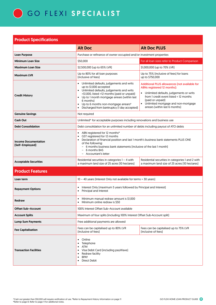

|                                                | <b>Alt Doc PLUS</b><br><b>Alt Doc</b>                                                                                                                                                                                                                                                                                                           |                                                                                                                                                                                                                                                                             |  |  |
|------------------------------------------------|-------------------------------------------------------------------------------------------------------------------------------------------------------------------------------------------------------------------------------------------------------------------------------------------------------------------------------------------------|-----------------------------------------------------------------------------------------------------------------------------------------------------------------------------------------------------------------------------------------------------------------------------|--|--|
| <b>Loan Purpose</b>                            | Purchase or refinance of owner occupied and/or investment properties                                                                                                                                                                                                                                                                            |                                                                                                                                                                                                                                                                             |  |  |
| <b>Minimum Loan Size</b>                       | For all loan sizes refer to Product Comparison<br>\$50,000                                                                                                                                                                                                                                                                                      |                                                                                                                                                                                                                                                                             |  |  |
| <b>Maximum Loan Size</b>                       | \$2,500,000 (up to 65% LVR)                                                                                                                                                                                                                                                                                                                     | \$1,000,000 (up to 70% LVR)                                                                                                                                                                                                                                                 |  |  |
| <b>Maximum LVR</b>                             | Up to 80% for all loan purposes<br>(inclusive of fees)                                                                                                                                                                                                                                                                                          | Up to 75% [inclusive of fees] for loans<br>up to \$750,000                                                                                                                                                                                                                  |  |  |
| <b>Credit History</b>                          | Unlimited defaults, judgements and writs<br>$\bullet$<br>up to \$1,000 accepted<br>• Unlimited defaults, judgements and writs<br>>\$1,000, listed >12 months (paid or unpaid)<br>• Up to 1 month mortgage arrears (within last<br>6 monthsl<br>Up to 6 months non-mortgage arrears#<br>Discharged from bankruptcy [1 day accepted]<br>$\bullet$ | Additional PLUS allowances (not available for<br>ABNs registered 12 months):<br>Unlimited defaults, judgements or writs<br>from 1 credit event listed < 12 months<br>(paid or unpaid)<br>Unlimited mortgage and non-mortgage<br>$\bullet$<br>arrears (within last 6 months) |  |  |
| <b>Genuine Savings</b>                         | Not required                                                                                                                                                                                                                                                                                                                                    |                                                                                                                                                                                                                                                                             |  |  |
| <b>Cash Out</b>                                | Unlimited <sup>^</sup> for acceptable purposes including renovations and business use                                                                                                                                                                                                                                                           |                                                                                                                                                                                                                                                                             |  |  |
| <b>Debt Consolidation</b>                      | Debt consolidation for an unlimited number of debts including payout of ATO debts                                                                                                                                                                                                                                                               |                                                                                                                                                                                                                                                                             |  |  |
| <b>Income Documentation</b><br>[Self-Employed] | ABN registered for 12 months*<br>$\bullet$<br>GST registered for 12 months<br>Declaration of financial position and last 1 month's business bank statements PLUS ONE<br>of the following:<br>6 months business bank statements (inclusive of the last 1 month)<br>6 months BAS<br>Accountant's letter                                           |                                                                                                                                                                                                                                                                             |  |  |
| <b>Acceptable Securities</b>                   | Residential securities in categories $1 - 4$ with<br>a maximum land size of 25 acres [10 hectares]                                                                                                                                                                                                                                              | Residential securities in categories 1 and 2 with<br>a maximum land size of 25 acres [10 hectares]                                                                                                                                                                          |  |  |
| <b>Product Features</b>                        |                                                                                                                                                                                                                                                                                                                                                 |                                                                                                                                                                                                                                                                             |  |  |
| Loan term                                      | 10 - 40 years (Interest Only not available for terms > 30 years)                                                                                                                                                                                                                                                                                |                                                                                                                                                                                                                                                                             |  |  |
| <b>Repayment Options</b>                       | Interest Only (maximum 5 years followed by Principal and Interest)<br>$\bullet$<br>Principal and Interest                                                                                                                                                                                                                                       |                                                                                                                                                                                                                                                                             |  |  |
| Redraw                                         | Minimum manual redraw amount is \$1,000<br>Minimum online redraw is \$50<br>$\bullet$                                                                                                                                                                                                                                                           |                                                                                                                                                                                                                                                                             |  |  |
| <b>Offset Sub-Account</b>                      | 100% Interest Offset Sub-Account available                                                                                                                                                                                                                                                                                                      |                                                                                                                                                                                                                                                                             |  |  |
| <b>Account Splits</b>                          | Maximum of four splits (including 100% Interest Offset Sub-Account split)                                                                                                                                                                                                                                                                       |                                                                                                                                                                                                                                                                             |  |  |
| <b>Lump Sum Payments</b>                       | Free additional payments are allowed                                                                                                                                                                                                                                                                                                            |                                                                                                                                                                                                                                                                             |  |  |
| <b>Fee Capitalisation</b>                      | Fees can be capitalised up to 80% LVR<br>(inclusive of fees)                                                                                                                                                                                                                                                                                    | Fees can be capitalised up to 75% LVR<br>(inclusive of fees)                                                                                                                                                                                                                |  |  |
| <b>Transaction Facilities</b>                  | Online<br>$\bullet$<br>Telephone<br>ATM<br>$\bullet$<br>Visa Debit Card [including payWave]<br>Redraw facility<br><b>BPAY</b><br>$\bullet$<br><b>Direct Debit</b><br>$\bullet$                                                                                                                                                                  |                                                                                                                                                                                                                                                                             |  |  |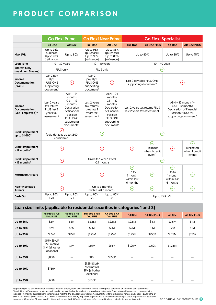# PRODUCT COMPARISON

|                                                        | <b>Go Flexi Prime</b>                                                 |                                                                                                                                                    |                                                                       | <b>Go Flexi Near Prime</b>                                                                                                                 |                                                                         | <b>Go Flexi Specialist</b>                                     |                                                                             |                                                                                                                                                                                 |  |
|--------------------------------------------------------|-----------------------------------------------------------------------|----------------------------------------------------------------------------------------------------------------------------------------------------|-----------------------------------------------------------------------|--------------------------------------------------------------------------------------------------------------------------------------------|-------------------------------------------------------------------------|----------------------------------------------------------------|-----------------------------------------------------------------------------|---------------------------------------------------------------------------------------------------------------------------------------------------------------------------------|--|
|                                                        | <b>Full Doc</b>                                                       | <b>Alt Doc</b>                                                                                                                                     | <b>Full Doc</b>                                                       | <b>Alt Doc</b>                                                                                                                             | <b>Full Doc</b>                                                         | <b>Full Doc PLUS</b>                                           | <b>Alt Doc</b>                                                              | <b>Alt Doc PLUS</b>                                                                                                                                                             |  |
| <b>Max LVR</b>                                         | Up to 95%<br>[purchase]<br>Up to 90%<br>(refinance)                   | Up to 80%                                                                                                                                          | Up to 95%<br>(purchase)<br>Up to 90%<br>[refinance]                   | Up to 85%<br>(purchase)<br>Up to 80%<br>(refinance)                                                                                        |                                                                         | Up to 80%                                                      | Up to 80%                                                                   | Up to 75%                                                                                                                                                                       |  |
| <b>Loan Term</b>                                       | $10 - 30$ years                                                       |                                                                                                                                                    | $10 - 40$ years                                                       |                                                                                                                                            |                                                                         | $10 - 40$ years                                                |                                                                             |                                                                                                                                                                                 |  |
| <b>Interest Only</b><br>(maximum 5 years)              | PLUS only                                                             |                                                                                                                                                    | PLUS only                                                             |                                                                                                                                            |                                                                         | $\mathcal{L}$                                                  |                                                                             |                                                                                                                                                                                 |  |
| Income<br><b>Documentation</b><br>(PAYG)               | Last 2 pay<br>slips<br>PLUS ONE<br>supporting<br>document*            | $\odot$                                                                                                                                            | Last 2<br>pay slips<br>PLUS ONE<br>supporting<br>document*            | $\left( \infty \right)$                                                                                                                    | Last 2 pay slips PLUS ONE<br>$(\!\mathsf{x}\!)$<br>supporting document* |                                                                |                                                                             |                                                                                                                                                                                 |  |
| Income<br><b>Documentation</b><br>(Self-Employed)^     | Last 2 years<br>tax returns<br>PLUS last 2<br>years tax<br>assessment | $ABN - 24$<br>months<br>$GST - 12$<br>months<br>Declaration<br>of financial<br>position<br><b>PLUS TWO</b><br>supporting<br>documents <sup>^</sup> | Last 2 years<br>tax returns<br>plus last 2<br>years tax<br>assessment | $ABN - 24$<br>months<br>$GST - 12$<br>months<br>Declaration<br>of Financial<br>Position<br>PLUS ONE<br>supporting<br>document <sup>^</sup> | Last 2 years tax returns PLUS<br>last 2 years tax assessment            |                                                                |                                                                             | $ABN - 12$ months <sup><math>\wedge \wedge</math></sup><br>$GST - 12$ months<br><b>Declaration of Financial</b><br><b>Position PLUS ONE</b><br>supporting document <sup>^</sup> |  |
| <b>Credit impairment</b><br>up to \$1,000#             | (paid defaults up to \$500<br>considered)                             |                                                                                                                                                    | $\oslash$                                                             |                                                                                                                                            |                                                                         | $(\!\mathcal{S}\!)$                                            |                                                                             |                                                                                                                                                                                 |  |
| <b>Credit impairment</b><br>$<$ 12 months <sup>#</sup> | $(\mathsf{x})$                                                        |                                                                                                                                                    | $\left( \!\!{\infty}\!\! \right)$                                     |                                                                                                                                            | $\left( \infty \right)$                                                 | $(\checkmark)$<br><b>funlimited</b><br>when 1 credit<br>eventl | $\odot$                                                                     | $\rm (\!\mathcal{C}\!)$<br><b>funlimited</b><br>when 1 credit<br>event)                                                                                                         |  |
| <b>Credit impairment</b><br>$>$ 12 months <sup>#</sup> | $\odot$                                                               |                                                                                                                                                    | Unlimited when listed<br>>24 months                                   |                                                                                                                                            | $\sim$                                                                  |                                                                |                                                                             |                                                                                                                                                                                 |  |
| <b>Mortgage Arrears</b>                                | $\left( \mathbf{\hat{x}}\right)$                                      |                                                                                                                                                    | $\left( \!\!{\infty}\right)$<br>$\left( \mathbf{\widehat{x}}\right)$  |                                                                                                                                            | Up to<br>1 month<br>within last<br>6 months                             | $(\checkmark)$                                                 | $\left( \!\!{\infty}\right)$<br>Up to<br>1 month<br>within last<br>6 months |                                                                                                                                                                                 |  |
| Non-Mortgage<br><b>Arrears</b>                         |                                                                       | $\odot$                                                                                                                                            | Up to 3 months<br>(within last 3 months)                              |                                                                                                                                            | $\small\textcolor{blue}{\curvearrowright}$                              | $\oslash$                                                      | $\triangledown$                                                             | $\oslash$                                                                                                                                                                       |  |
| <b>Cash Out</b>                                        | Up to 90%<br><b>LVR</b>                                               | Up to 80%<br>LVR                                                                                                                                   | Up to 90%<br><b>LVR</b>                                               | Up to 80%<br><b>LVR</b>                                                                                                                    | Up to 75% LVR                                                           |                                                                |                                                                             |                                                                                                                                                                                 |  |

## Loan size limits (applicable to residential securities in categories 1 and 2)

|                  | <b>Full doc &amp; Full</b><br><b>Doc PLUS</b>                | Alt doc & Alt<br><b>Doc PLUS</b> | <b>Full doc &amp; Full</b><br><b>Doc PLUS</b>                | Alt doc & Alt<br><b>Doc PLUS</b> | <b>Full Doc</b> | <b>Full Doc PLUS</b> | <b>Alt Doc</b> | <b>Alt Doc PLUS</b> |
|------------------|--------------------------------------------------------------|----------------------------------|--------------------------------------------------------------|----------------------------------|-----------------|----------------------|----------------|---------------------|
| Up to 65%        | \$2M                                                         | \$2M                             | \$2.5M                                                       | \$2.5M                           | \$2.5M          | \$1M                 | \$2.5M         | S1M                 |
| Up to 70%        | \$2M                                                         | \$2M                             | \$2M                                                         | \$2M                             | \$2M            | \$1M                 | \$2M           | S1M                 |
| Up to 75%        | \$1.5M                                                       | \$1.5M                           | \$1.75M                                                      | \$1.75M                          | \$1.75M         | \$750K               | \$1.75M        | \$750K              |
| <b>Up to 80%</b> | $$1.5M$ (Syd/<br>Mel metro)<br>\$1M (all other<br>locations) | \$1M                             | \$1.5M                                                       | \$1.5M                           | \$1.25M         | \$750K               | \$1.25M        |                     |
| Up to 85%        | \$850K                                                       | —                                | S1M                                                          | \$650K                           | —               |                      |                |                     |
| Up to 90%        | \$750K                                                       |                                  | $$1.5M$ (Syd/<br>Mel metro)<br>\$1M [all other<br>locations) |                                  |                 |                      |                |                     |
| Up to 95%        | \$650K                                                       |                                  | \$650K                                                       |                                  |                 |                      |                |                     |

\*Supporting PAYG documentation includes - letter of employment, tax assessment notice, latest group certificate or 3 months bank statements. ^In addition, self-employed applicants will need to supply the last 1 month of business bank statements. Supporting self-employed documentation<br>includes – 6 months business bank statements, 6 months BAS or Accountant's let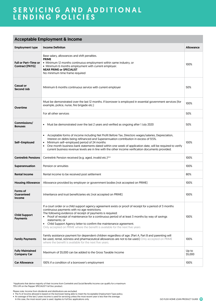## SERVICING AND ADDITIONAL LENDING POLICIES

## Acceptable Employment & Income

|                                                       | receptable Eniprographic & mee                                                                                                                                                                                                                                                                                                                                                                                                                                                                        |                  |  |  |  |
|-------------------------------------------------------|-------------------------------------------------------------------------------------------------------------------------------------------------------------------------------------------------------------------------------------------------------------------------------------------------------------------------------------------------------------------------------------------------------------------------------------------------------------------------------------------------------|------------------|--|--|--|
| <b>Employment type</b>                                | <b>Income Definiton</b>                                                                                                                                                                                                                                                                                                                                                                                                                                                                               | <b>Allowance</b> |  |  |  |
| <b>Full or Part-Time or</b><br><b>Contract (PAYG)</b> | Base salary, allowances and shift penalties.<br><b>PRIME</b><br>• Minimum 12 months continuous employment within same industry, or<br>• Minimum 6 months employment with current employer.<br><b>NEAR PRIME OF SPECIALIST</b><br>No minimum time frame required                                                                                                                                                                                                                                       | 100%             |  |  |  |
| <b>Casual or</b><br>Second Job                        | Minimum 6 months continuous service with current employer                                                                                                                                                                                                                                                                                                                                                                                                                                             | 50%              |  |  |  |
| Overtime                                              | Must be demonstrated over the last 12 months. If borrower is employed in essential government services (for<br>example, police, nurse, fire brigade etc.)                                                                                                                                                                                                                                                                                                                                             | 100%             |  |  |  |
|                                                       | For all other services                                                                                                                                                                                                                                                                                                                                                                                                                                                                                | 50%              |  |  |  |
| Commissions/<br><b>Bonuses</b>                        | Must be demonstrated over the last 2 years and verified as ongoing after 1 July 2020<br>$\bullet$                                                                                                                                                                                                                                                                                                                                                                                                     | 50%              |  |  |  |
| Self-Employed                                         | Acceptable forms of income including Net Profit Before Tax, Directors wages/salaries, Depreciation,<br>Interest on debts being refinanced and Superannuation contribution in excess of 9.5%.<br>Minimum self-employed period of 24 months<br>100%<br>$\bullet$<br>One month business bank statements dated within one week of application date, will be required to verify<br>$\bullet$<br>current business revenue levels are in line with the other income verification documents provided.         |                  |  |  |  |
| <b>Centrelink Pensions</b>                            | Centrelink Pension received [e.g. aged, invalid etc.]^^<br>100%                                                                                                                                                                                                                                                                                                                                                                                                                                       |                  |  |  |  |
| Superannuation                                        | Pension or annuities                                                                                                                                                                                                                                                                                                                                                                                                                                                                                  | 100%             |  |  |  |
| <b>Rental Income</b>                                  | Rental income to be received post settlement                                                                                                                                                                                                                                                                                                                                                                                                                                                          | 80%              |  |  |  |
| <b>Housing Allowance</b>                              | Allowance provided by employer or government bodies (not accepted on PRIME)                                                                                                                                                                                                                                                                                                                                                                                                                           | 100%             |  |  |  |
| Forms of<br><b>Guaranteed</b><br>Income               | Inheritance and trust beneficiaries etc (not accepted on PRIME)                                                                                                                                                                                                                                                                                                                                                                                                                                       | 100%             |  |  |  |
| <b>Child Support</b><br><b>Payments</b>               | If a court order or a child support agency agreement exists or proof of receipt for a period of 3 months<br>continuous payments with no age restrictions.<br>The following evidence of receipt of payments is required:<br>• Proof of receipt of maintenance for a continuous period of at least 3 months by way of savings<br>statements: or<br>• Child Support Agency letter to confirm the maintenance agreement.<br>Only accepted on PRIME where the benefit is available for the next five years | 100%             |  |  |  |
| <b>Family Payments</b>                                | Family assistance payment for dependent children regardless of age. [Part A, Part B and parenting will<br>be used, rental, sickness and pharmaceutical allowances are not to be used.] Only accepted on PRIME<br>where the benefit is available for the next five years.                                                                                                                                                                                                                              | 100%             |  |  |  |
| <b>Fully Maintained</b><br><b>Company Car</b>         | Maximum of \$5,000 can be added to the Gross Taxable Income                                                                                                                                                                                                                                                                                                                                                                                                                                           | Up to<br>\$5,000 |  |  |  |
| <b>Car Allowance</b>                                  | 100% if a condition of a borrower's employment                                                                                                                                                                                                                                                                                                                                                                                                                                                        | 100%             |  |  |  |

^Applicants that derive majority of their income from Centrelink and Social Benefits Income can qualify for a maximum 75% LVR on the Pepper SPECIALIST Full Doc product.

Please note: Income from dividends and distributions are excluded. • The % of income allowed is based on the borrower being able to meet the Acceptable Employment Type policy.

• An average of the last 2 years income is used for servicing unless the most recent year is less than the average. In this case, the most recent year is used. Applies to Full Doc applications only.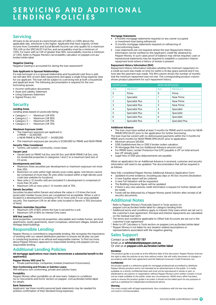### **Servicing**

All loans to be serviced at a benchmark rate of 5.85% or 2.50% above the applicable rate, whichever is the higher. Applicants that have majority of their income from Centrelink and Social Benefit Income can only qualify for a maximum 75% LVR on the SPECIALIST Full Doc and serviceability must be a minimum of 1.25%. For loans with an LVR of greater than 90%, serviceability must be a minimum of 1.35%. Refer to Pepper Money's serviceability calculator on pepper.com.au/ broker/white-label

#### Negative Gearing

Negative Gearing is accounted for during the loan assessment<sup>5</sup>.

#### Sole Applicants in Spousal Relationships

If a sole borrower is in a spousal relationship and household cash flow is split, we will take 50% of joint debt repayments and apply a single living expense view for our applicant. The loan will be subject to a servicing test at both a household and applicant level. The following documentation is required for the nonborrowing spouse:

- Income verification documents
- Asset and Liability Statement
- Living Expenses Statement
- Signed Privacy Act

#### **Security**

#### Lending Areas

Lending areas based on postcode listing:

- Category 1 Maximum LVR 95%
- Category 2 Maximum LVR 95%<br>• Category 3 Maximum LVR 75%
- Category 3 Maximum LVR 75%<br>• Category 4 Maximum LVR 70% Maximum LVR 70%

#### Maximum Exposure Limits

- The maximum exposure per applicant is: o PRIME — \$2,500,000 o NEAR PRIME & SPECIALIST — \$4,000,000
- 
- The maximum exposure per security is \$1,500,000 for PRIME and NEAR PRIME
- Security Titles Considered • Torrens, old system, community, crown lease.

#### Vacant Land

• Vacant land on PRIME Full Doc and Alt Doc and NEAR PRIME Full Doc only for residential properties in categories 1 and 2, to a maximum land size of 2.5 acres.

#### Developments and Units

- Maximum three securities per development or maximum exposure not more than 25%.
- Restriction on units within high density post codes apply. Unit blocks cannot be comprised of more than 35 units when located within a high-density post code (see website for locations).
- New units (< 12 months old) are excluded if a development is comprised of more than 35 units.
- Maximum LVR on new units (< 12 months old) of 75%.

#### Darwin Securities

Securities located within Darwin and where the value is >1.5 times the local (postcode) median house price are considered not acceptable. When a unit is located in a development consisting of 35 or more units it is an unacceptable security. The maximum LVR on all other units located in Darwin is 70% (exclusive of fees).

#### Western Australian Securities

- 
- Maximum LVR of 85% where the loan is secured by a unit. Maximum LVR of 85% for Interest Only loans

#### Will Not Lend On

Rural properties, commercial properties, relocatable and mobile homes, serviced apartments, studio apartments, resort complexes, retirement villages, bedsits and heritage listed buildings.

#### Responsible Lending

Pepper Money is committed to responsible lending. We recognise the importance of working with our valued distribution partners to ensure we all play our part in conducting business in an ethical and responsible manner. To find out more about Pepper Money's approach to responsible lending visit pepper.com.au/ responsible-lending

#### Additional Lending Policies

#### All mortgage applications must clearly demonstrate a substantial benefit to the applicant(s).

#### Pepper Money Will Lend To

• Private partnerships, companies, trustees (maximum 6 borrowers).

Non-Conforming and Private or Solicitor Loans:

Will refinance non-conforming, private and solicitor loans.

#### Portability

Pepper Money offers portability on all new loans. Subject to conditions Go to 'Documents and forms' section on pepper. com.au/broker/white-label for details.

#### Bank Statements

Applicants' last three months personal bank statements may be needed for positive confirmation of their declared living expenses.

#### Mortgage Statements

- 6 months mortgage statements required on any owner occupied or investment loan being refinanced.
- 12 months mortgage statements required on refinancing of
- nonconforming loans. • Loan statements are not required where the loan Repayment History Information can be verified on the Applicant's credit file obtained by Pepper Money. In such cases proof of balance may still be required. Loan or transactional statements may be required to establish a customer's historic repayment level where a history of arrears is present.

#### Repayment History Information (RHI)

Repayment History Information indicates whether the minimum repayment on a credit account was made on time (or within a 14-day grace period) and if not, how late the payment was made. The RHI column shows the number of months that the minimum repayment was not met. The corresponding product column shows product placement for such repayment history.

| <b>MORTGAGES</b> |                        |            | <b>NON MORTGAGES</b>   |
|------------------|------------------------|------------|------------------------|
| <b>RHI</b>       | <b>PRODUCT</b>         | <b>RHI</b> | <b>PRODUCT</b>         |
| 0                | Prime                  | 0          | Prime                  |
|                  | Specialist             |            | Near Prime             |
| $\overline{c}$   | <b>Specialist Plus</b> | 2          | Near Prime             |
| 3                | <b>Specialist Plus</b> | 3          | Near Prime             |
| $\overline{4}$   | <b>Specialist Plus</b> | 4          | Specialist             |
| 5                | <b>Specialist Plus</b> | 5          | Specialist             |
| 6                | <b>Specialist Plus</b> | 6          | Specialist             |
| X                | <b>Specialist Plus</b> | X          | <b>Specialist Plus</b> |

#### Additional Advance

• The loan must have settled at least 3 months for PRIME and 6 months for NEAR PRIME/SPECIALIST prior to the application for further borrowing.

- The loan must be current with no dishonoured payments within the 3 months for PRIME and 6 months for NEAR PRIME/SPECIALIST prior to application. • Minimum amount \$10,000.
- 
- \$395 Establishment fee or \$100 if broker orders valuation.
- 1% Mortgage Risk Fee (on Additional Advance amount only) • For PRIME loans, Lender Protection Fee (LPF) payable is LPF on total amount
- less LPF already paid. Legal Fees of \$150 plus disbursements are payable.

When an application for an Additional Advance is received, customer and security information will need to be updated. The documentation that will be required is as follows:

New fully completed Pepper Money Additional Advance Application Form.

- Updated income evidence, including pay slips or Alt Doc Income Declaration.
- A new Equifax report will be ordered. • A new Full Valuation will be requested.
- The Building Insurance figure will be updated.
- If there is any new adverse credit information a request for further details will be made.
- Funds will be disbursed by a Pepper Money panel Solicitor after receipt of all security documents.

#### Additional Notes

<sup>1</sup> Refer to Pepper Money's Postcode Search in Tools section on

- pepper.com.au/broker/white-label for category lending limits
- <sup>2</sup> Additional terms and conditions apply to Interest Only loans which are set out in the customer's loan agreement. Principal and Interest repayments are calculated on the residual loan term
- <sup>3</sup> The terms and conditions applicable to Offset Sub-Accounts are set out in the customer's loan agreement
- <sup>4</sup> Refer to LPF Calculator in Tools section on pepper.com.au/broker/white-label <sup>5</sup> Pepper Money is not liable for any taxation related assumptions or
- representations associated with the negative gearing.

#### Sales Support

#### Contact us on 1800 737 737

Email us at whitelabel@pepper.com.au Or visit us at pepper.com.au/broker/white-label

#### **Disclaimer**

This product guide is accurate as at the effective date of this document. Pepper Money reserves the right to alter the policies at any time without notice. We will notify borrowers of changes in accordance with their loan agreement and the National Consumer Credit Protection Act.

#### **Confidential**

this product guide is a reference guide for mortgage professionals accredited to distribute Pepper Money products and is not intended as an advertisement to the public. It is made available on a strictly confidential basis and must not be reproduced in whole or part, or distributed to any person or organisation without Pepper Money's prior written consent. It must not be made available to the public under any circumstances. Whilst every effort has been made to ensure this product guide is accurate, it should not be relied upon for any purpose or used as a substitute for independent professional advice.

#### **Warning**

You must comply with all legal requirements. Non-compliance with the law may attract civil and/or criminal penalties.